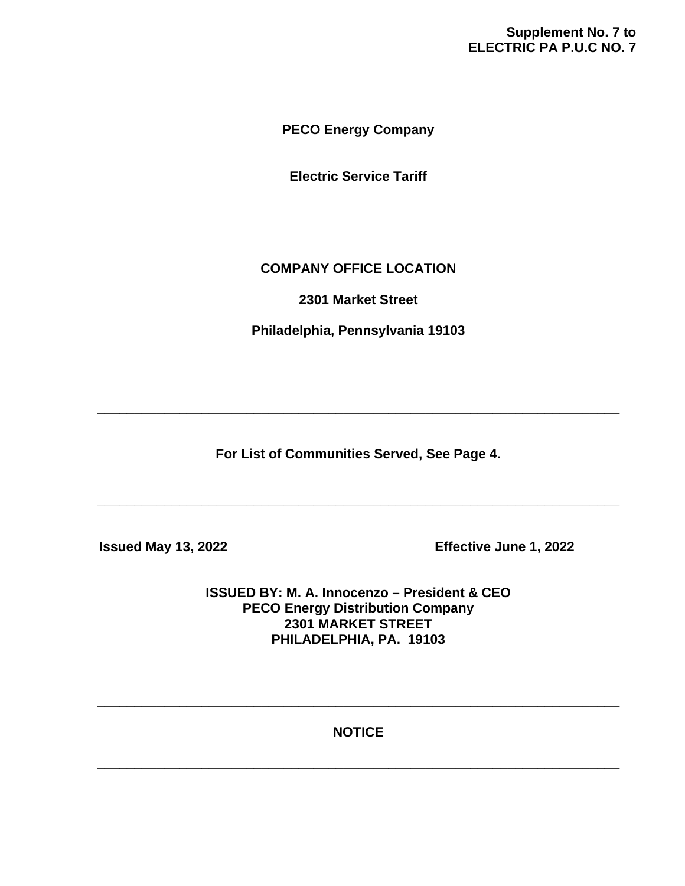# **Supplement No. 7 to ELECTRIC PA P.U.C NO. 7**

**PECO Energy Company**

**Electric Service Tariff**

# **COMPANY OFFICE LOCATION**

**2301 Market Street**

**Philadelphia, Pennsylvania 19103**

**For List of Communities Served, See Page 4.**

**\_\_\_\_\_\_\_\_\_\_\_\_\_\_\_\_\_\_\_\_\_\_\_\_\_\_\_\_\_\_\_\_\_\_\_\_\_\_\_\_\_\_\_\_\_\_\_\_\_\_\_\_\_\_\_\_\_\_\_\_\_\_\_\_\_\_\_\_\_\_**

**\_\_\_\_\_\_\_\_\_\_\_\_\_\_\_\_\_\_\_\_\_\_\_\_\_\_\_\_\_\_\_\_\_\_\_\_\_\_\_\_\_\_\_\_\_\_\_\_\_\_\_\_\_\_\_\_\_\_\_\_\_\_\_\_\_\_\_\_\_\_**

 **Issued May 13, 2022 Effective June 1, 2022**

**ISSUED BY: M. A. Innocenzo – President & CEO PECO Energy Distribution Company 2301 MARKET STREET PHILADELPHIA, PA. 19103**

**NOTICE**

**\_\_\_\_\_\_\_\_\_\_\_\_\_\_\_\_\_\_\_\_\_\_\_\_\_\_\_\_\_\_\_\_\_\_\_\_\_\_\_\_\_\_\_\_\_\_\_\_\_\_\_\_\_\_\_\_\_\_\_\_\_\_\_\_\_\_\_\_\_\_**

**\_\_\_\_\_\_\_\_\_\_\_\_\_\_\_\_\_\_\_\_\_\_\_\_\_\_\_\_\_\_\_\_\_\_\_\_\_\_\_\_\_\_\_\_\_\_\_\_\_\_\_\_\_\_\_\_\_\_\_\_\_\_\_\_\_\_\_\_\_\_**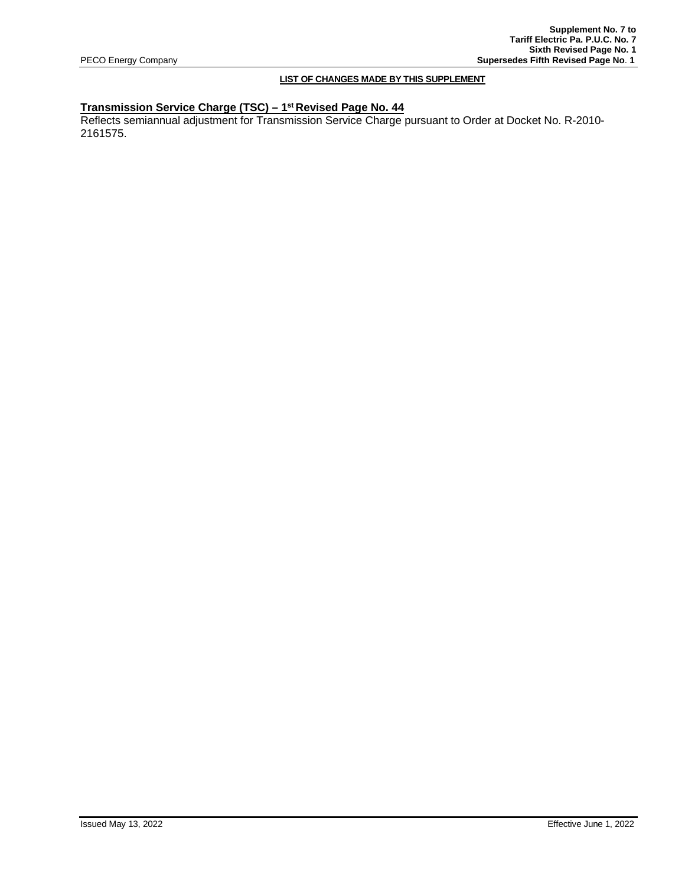## **LIST OF CHANGES MADE BY THIS SUPPLEMENT**

## **Transmission Service Charge (TSC) – 1st Revised Page No. 44**

Reflects semiannual adjustment for Transmission Service Charge pursuant to Order at Docket No. R-2010- 2161575.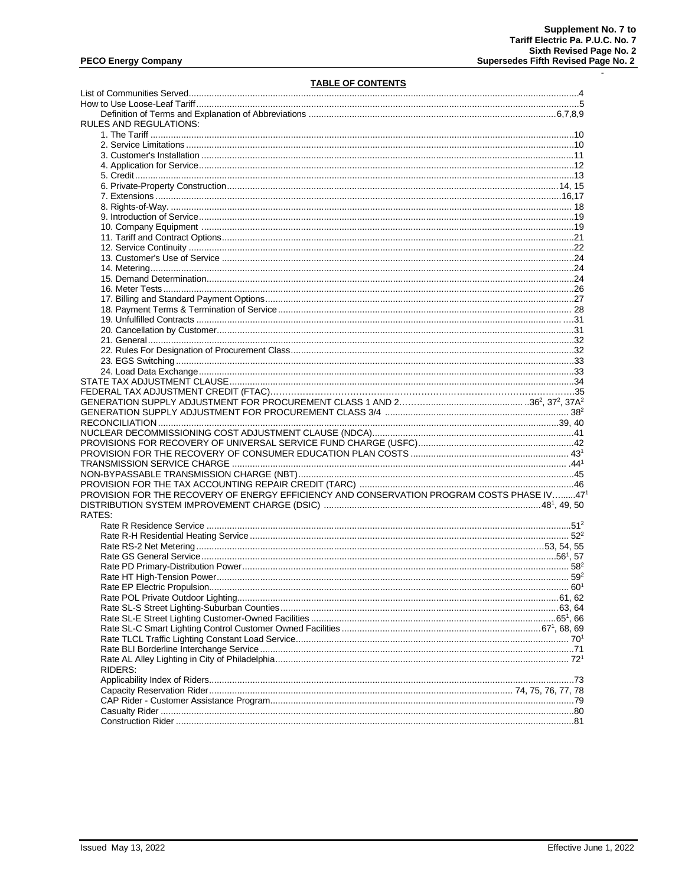$\mathcal{L}$ 

### **TABLE OF CONTENTS**

| RULES AND REGULATIONS:                                                                    |  |
|-------------------------------------------------------------------------------------------|--|
|                                                                                           |  |
|                                                                                           |  |
|                                                                                           |  |
|                                                                                           |  |
|                                                                                           |  |
|                                                                                           |  |
|                                                                                           |  |
|                                                                                           |  |
|                                                                                           |  |
|                                                                                           |  |
|                                                                                           |  |
|                                                                                           |  |
|                                                                                           |  |
|                                                                                           |  |
|                                                                                           |  |
|                                                                                           |  |
|                                                                                           |  |
|                                                                                           |  |
|                                                                                           |  |
|                                                                                           |  |
|                                                                                           |  |
|                                                                                           |  |
|                                                                                           |  |
|                                                                                           |  |
|                                                                                           |  |
|                                                                                           |  |
|                                                                                           |  |
|                                                                                           |  |
|                                                                                           |  |
|                                                                                           |  |
|                                                                                           |  |
|                                                                                           |  |
|                                                                                           |  |
|                                                                                           |  |
|                                                                                           |  |
|                                                                                           |  |
|                                                                                           |  |
| PROVISION FOR THE RECOVERY OF ENERGY EFFICIENCY AND CONSERVATION PROGRAM COSTS PHASE IV47 |  |
|                                                                                           |  |
| RATES:                                                                                    |  |
|                                                                                           |  |
|                                                                                           |  |
|                                                                                           |  |
|                                                                                           |  |
|                                                                                           |  |
|                                                                                           |  |
|                                                                                           |  |
|                                                                                           |  |
|                                                                                           |  |
|                                                                                           |  |
|                                                                                           |  |
|                                                                                           |  |
|                                                                                           |  |
|                                                                                           |  |
| RIDERS:                                                                                   |  |
|                                                                                           |  |
|                                                                                           |  |
|                                                                                           |  |
|                                                                                           |  |